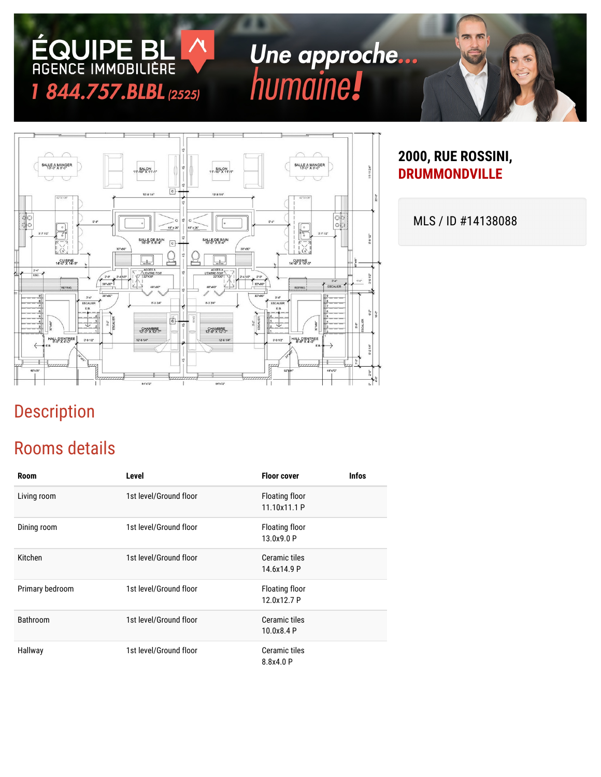# Une approche...<br>humaine!



#### **2000, RUE ROSSINI, DRUMMONDVILLE**

MLS / ID #14138088

## Description

#### Rooms details

**ÉQUIPE BL**<br>AGENCE IMMOBILIÈRE

1 844.757.BLBL (2525)

| <b>Room</b>     | Level                  | <b>Floor cover</b>             | <b>Infos</b> |
|-----------------|------------------------|--------------------------------|--------------|
| Living room     | 1st level/Ground floor | Floating floor<br>11.10x11.1 P |              |
| Dining room     | 1st level/Ground floor | Floating floor<br>13.0x9.0 P   |              |
| Kitchen         | 1st level/Ground floor | Ceramic tiles<br>14.6x14.9 P   |              |
| Primary bedroom | 1st level/Ground floor | Floating floor<br>12.0x12.7 P  |              |
| <b>Bathroom</b> | 1st level/Ground floor | Ceramic tiles<br>10.0x8.4 P    |              |
| Hallway         | 1st level/Ground floor | Ceramic tiles<br>8.8x4.0 P     |              |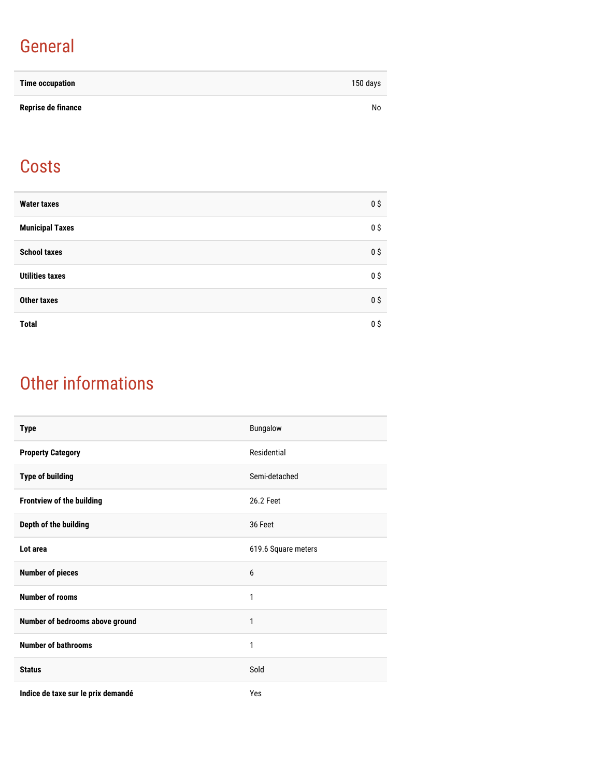## General

| <b>Time occupation</b> | 150 days |
|------------------------|----------|
| Reprise de finance     | No       |

#### **Costs**

| <b>Water taxes</b>     | 0 <sup>5</sup> |
|------------------------|----------------|
| <b>Municipal Taxes</b> | $0$ \$         |
| <b>School taxes</b>    | 0 <sup>5</sup> |
| <b>Utilities taxes</b> | 0 <sup>5</sup> |
| <b>Other taxes</b>     | 0 <sup>5</sup> |
| <b>Total</b>           | $0$ \$         |

## Other informations

| <b>Type</b>                        | Bungalow            |
|------------------------------------|---------------------|
| <b>Property Category</b>           | Residential         |
| <b>Type of building</b>            | Semi-detached       |
| Frontview of the building          | 26.2 Feet           |
| Depth of the building              | 36 Feet             |
| Lot area                           | 619.6 Square meters |
| <b>Number of pieces</b>            | 6                   |
| <b>Number of rooms</b>             | 1                   |
| Number of bedrooms above ground    | 1                   |
| <b>Number of bathrooms</b>         | 1                   |
| <b>Status</b>                      | Sold                |
| Indice de taxe sur le prix demandé | Yes                 |